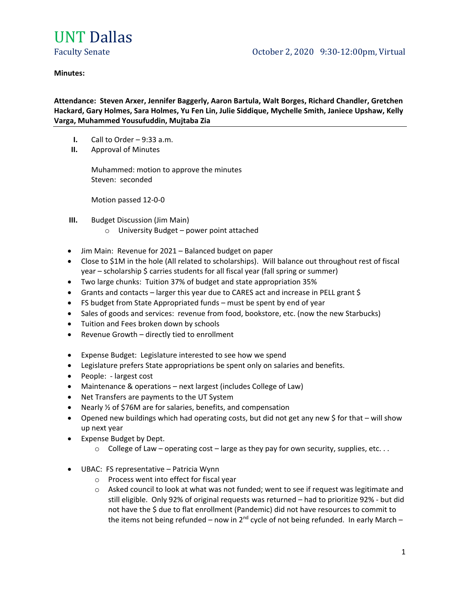

### **Minutes:**

**Attendance: Steven Arxer, Jennifer Baggerly, Aaron Bartula, Walt Borges, Richard Chandler, Gretchen Hackard, Gary Holmes, Sara Holmes, Yu Fen Lin, Julie Siddique, Mychelle Smith, Janiece Upshaw, Kelly Varga, Muhammed Yousufuddin, Mujtaba Zia**

- **I.** Call to Order 9:33 a.m.
- **II.** Approval of Minutes

Muhammed: motion to approve the minutes Steven: seconded

Motion passed 12-0-0

- **III.** Budget Discussion (Jim Main)
	- o University Budget power point attached
- Jim Main: Revenue for 2021 Balanced budget on paper
- Close to \$1M in the hole (All related to scholarships). Will balance out throughout rest of fiscal year – scholarship \$ carries students for all fiscal year (fall spring or summer)
- Two large chunks: Tuition 37% of budget and state appropriation 35%
- Grants and contacts larger this year due to CARES act and increase in PELL grant \$
- FS budget from State Appropriated funds must be spent by end of year
- Sales of goods and services: revenue from food, bookstore, etc. (now the new Starbucks)
- Tuition and Fees broken down by schools
- Revenue Growth directly tied to enrollment
- Expense Budget: Legislature interested to see how we spend
- Legislature prefers State appropriations be spent only on salaries and benefits.
- People: largest cost
- Maintenance & operations next largest (includes College of Law)
- Net Transfers are payments to the UT System
- Nearly % of \$76M are for salaries, benefits, and compensation
- Opened new buildings which had operating costs, but did not get any new \$ for that will show up next year
- Expense Budget by Dept.
	- $\circ$  College of Law operating cost large as they pay for own security, supplies, etc...
- UBAC: FS representative Patricia Wynn
	- o Process went into effect for fiscal year
	- $\circ$  Asked council to look at what was not funded; went to see if request was legitimate and still eligible. Only 92% of original requests was returned – had to prioritize 92% - but did not have the \$ due to flat enrollment (Pandemic) did not have resources to commit to the items not being refunded – now in  $2^{nd}$  cycle of not being refunded. In early March –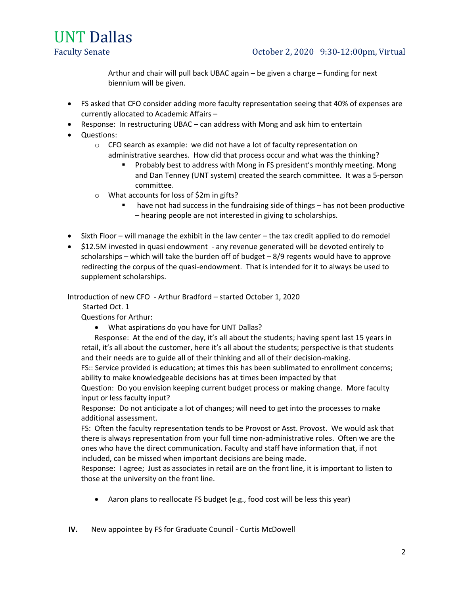

Arthur and chair will pull back UBAC again – be given a charge – funding for next biennium will be given.

- FS asked that CFO consider adding more faculty representation seeing that 40% of expenses are currently allocated to Academic Affairs –
- Response: In restructuring UBAC can address with Mong and ask him to entertain
- Questions:
	- $\circ$  CFO search as example: we did not have a lot of faculty representation on administrative searches. How did that process occur and what was the thinking?
		- Probably best to address with Mong in FS president's monthly meeting. Mong and Dan Tenney (UNT system) created the search committee. It was a 5-person committee.
	- o What accounts for loss of \$2m in gifts?
		- have not had success in the fundraising side of things has not been productive – hearing people are not interested in giving to scholarships.
- Sixth Floor will manage the exhibit in the law center the tax credit applied to do remodel
- \$12.5M invested in quasi endowment any revenue generated will be devoted entirely to scholarships – which will take the burden off of budget – 8/9 regents would have to approve redirecting the corpus of the quasi-endowment. That is intended for it to always be used to supplement scholarships.

Introduction of new CFO - Arthur Bradford – started October 1, 2020

Started Oct. 1

Questions for Arthur:

• What aspirations do you have for UNT Dallas?

Response: At the end of the day, it's all about the students; having spent last 15 years in retail, it's all about the customer, here it's all about the students; perspective is that students and their needs are to guide all of their thinking and all of their decision-making.

FS:: Service provided is education; at times this has been sublimated to enrollment concerns; ability to make knowledgeable decisions has at times been impacted by that

Question: Do you envision keeping current budget process or making change. More faculty input or less faculty input?

Response: Do not anticipate a lot of changes; will need to get into the processes to make additional assessment.

FS: Often the faculty representation tends to be Provost or Asst. Provost. We would ask that there is always representation from your full time non-administrative roles. Often we are the ones who have the direct communication. Faculty and staff have information that, if not included, can be missed when important decisions are being made.

Response: I agree; Just as associates in retail are on the front line, it is important to listen to those at the university on the front line.

- Aaron plans to reallocate FS budget (e.g., food cost will be less this year)
- **IV.** New appointee by FS for Graduate Council Curtis McDowell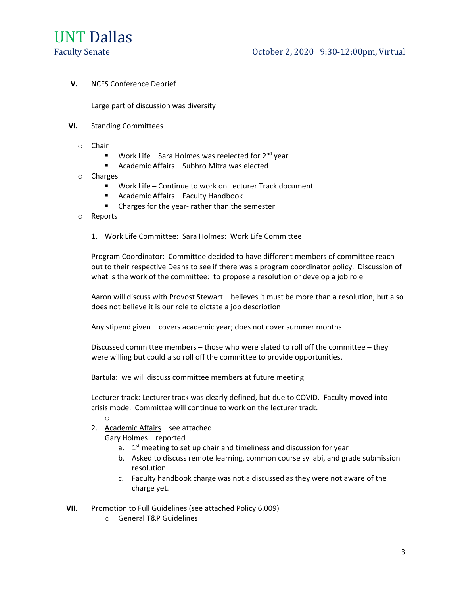

**V.** NCFS Conference Debrief

Large part of discussion was diversity

- **VI.** Standing Committees
	- o Chair
		- **■** Work Life Sara Holmes was reelected for  $2^{nd}$  year
		- Academic Affairs Subhro Mitra was elected
	- o Charges
		- Work Life Continue to work on Lecturer Track document
		- Academic Affairs Faculty Handbook
		- Charges for the year- rather than the semester
	- o Reports
		- 1. Work Life Committee: Sara Holmes: Work Life Committee

Program Coordinator: Committee decided to have different members of committee reach out to their respective Deans to see if there was a program coordinator policy. Discussion of what is the work of the committee: to propose a resolution or develop a job role

Aaron will discuss with Provost Stewart – believes it must be more than a resolution; but also does not believe it is our role to dictate a job description

Any stipend given – covers academic year; does not cover summer months

Discussed committee members – those who were slated to roll off the committee – they were willing but could also roll off the committee to provide opportunities.

Bartula: we will discuss committee members at future meeting

Lecturer track: Lecturer track was clearly defined, but due to COVID. Faculty moved into crisis mode. Committee will continue to work on the lecturer track.

2. Academic Affairs – see attached.

o

Gary Holmes – reported

- a.  $1<sup>st</sup>$  meeting to set up chair and timeliness and discussion for year
- b. Asked to discuss remote learning, common course syllabi, and grade submission resolution
- c. Faculty handbook charge was not a discussed as they were not aware of the charge yet.
- **VII.** Promotion to Full Guidelines (see attached Policy 6.009)
	- o General T&P Guidelines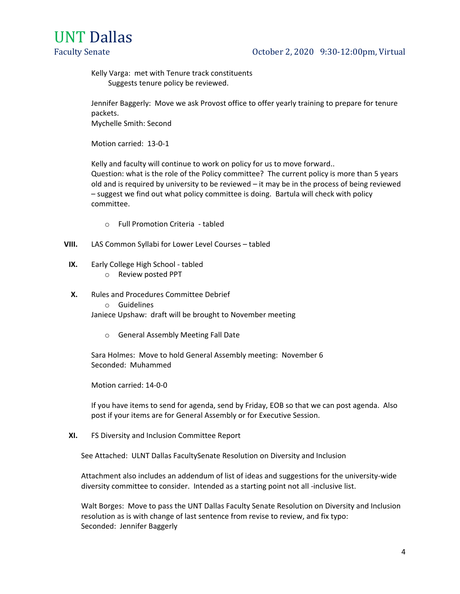

# Faculty Senate **Caucasia** Caucasia Coronace October 2, 2020 9:30-12:00pm, Virtual

Kelly Varga: met with Tenure track constituents Suggests tenure policy be reviewed.

Jennifer Baggerly: Move we ask Provost office to offer yearly training to prepare for tenure packets.

Mychelle Smith: Second

Motion carried: 13-0-1

Kelly and faculty will continue to work on policy for us to move forward..

Question: what is the role of the Policy committee? The current policy is more than 5 years old and is required by university to be reviewed – it may be in the process of being reviewed – suggest we find out what policy committee is doing. Bartula will check with policy committee.

- o Full Promotion Criteria tabled
- **VIII.** LAS Common Syllabi for Lower Level Courses tabled
- **IX.** Early College High School tabled
	- o Review posted PPT
- **X.** Rules and Procedures Committee Debrief
	- o Guidelines

Janiece Upshaw: draft will be brought to November meeting

o General Assembly Meeting Fall Date

Sara Holmes: Move to hold General Assembly meeting: November 6 Seconded: Muhammed

Motion carried: 14-0-0

If you have items to send for agenda, send by Friday, EOB so that we can post agenda. Also post if your items are for General Assembly or for Executive Session.

**XI.** FS Diversity and Inclusion Committee Report

See Attached: ULNT Dallas FacultySenate Resolution on Diversity and Inclusion

Attachment also includes an addendum of list of ideas and suggestions for the university-wide diversity committee to consider. Intended as a starting point not all -inclusive list.

Walt Borges: Move to pass the UNT Dallas Faculty Senate Resolution on Diversity and Inclusion resolution as is with change of last sentence from revise to review, and fix typo: Seconded: Jennifer Baggerly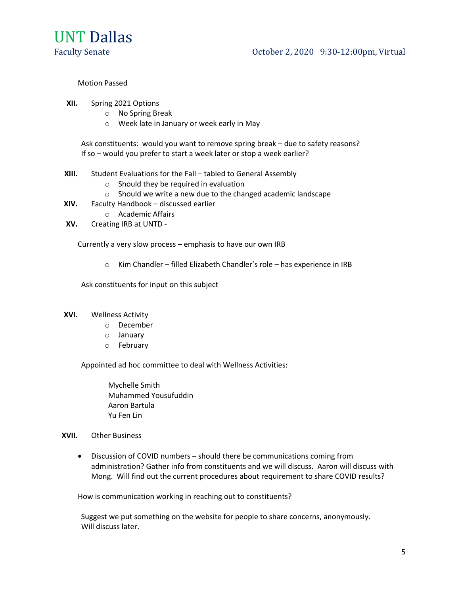

Faculty Senate **Caucasia** Caucasia Coronace October 2, 2020 9:30-12:00pm, Virtual

## Motion Passed

- **XII.** Spring 2021 Options
	- o No Spring Break
	- o Week late in January or week early in May

Ask constituents: would you want to remove spring break – due to safety reasons? If so – would you prefer to start a week later or stop a week earlier?

- **XIII.** Student Evaluations for the Fall tabled to General Assembly
	- o Should they be required in evaluation
	- o Should we write a new due to the changed academic landscape
- **XIV.** Faculty Handbook discussed earlier
	- o Academic Affairs
- **XV.** Creating IRB at UNTD -

Currently a very slow process – emphasis to have our own IRB

o Kim Chandler – filled Elizabeth Chandler's role – has experience in IRB

Ask constituents for input on this subject

### **XVI.** Wellness Activity

- o December
- o January
- o February

Appointed ad hoc committee to deal with Wellness Activities:

Mychelle Smith Muhammed Yousufuddin Aaron Bartula Yu Fen Lin

### **XVII.** Other Business

• Discussion of COVID numbers – should there be communications coming from administration? Gather info from constituents and we will discuss. Aaron will discuss with Mong. Will find out the current procedures about requirement to share COVID results?

How is communication working in reaching out to constituents?

Suggest we put something on the website for people to share concerns, anonymously. Will discuss later.